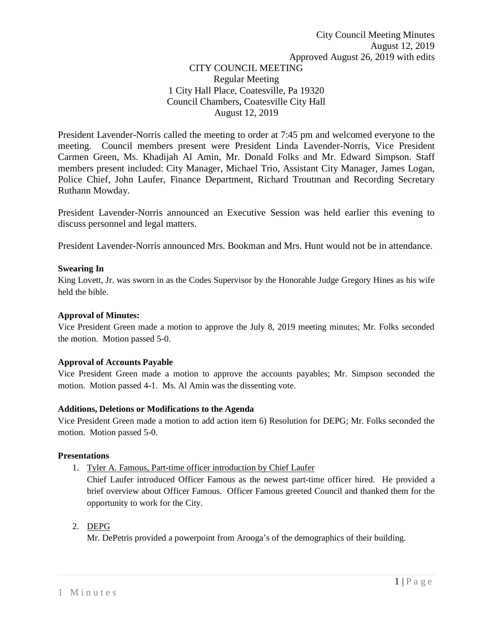# CITY COUNCIL MEETING Regular Meeting 1 City Hall Place, Coatesville, Pa 19320 Council Chambers, Coatesville City Hall August 12, 2019

President Lavender-Norris called the meeting to order at 7:45 pm and welcomed everyone to the meeting. Council members present were President Linda Lavender-Norris, Vice President Carmen Green, Ms. Khadijah Al Amin, Mr. Donald Folks and Mr. Edward Simpson. Staff members present included: City Manager, Michael Trio, Assistant City Manager, James Logan, Police Chief, John Laufer, Finance Department, Richard Troutman and Recording Secretary Ruthann Mowday.

President Lavender-Norris announced an Executive Session was held earlier this evening to discuss personnel and legal matters.

President Lavender-Norris announced Mrs. Bookman and Mrs. Hunt would not be in attendance.

## **Swearing In**

King Lovett, Jr. was sworn in as the Codes Supervisor by the Honorable Judge Gregory Hines as his wife held the bible.

## **Approval of Minutes:**

Vice President Green made a motion to approve the July 8, 2019 meeting minutes; Mr. Folks seconded the motion. Motion passed 5-0.

## **Approval of Accounts Payable**

Vice President Green made a motion to approve the accounts payables; Mr. Simpson seconded the motion. Motion passed 4-1. Ms. Al Amin was the dissenting vote.

## **Additions, Deletions or Modifications to the Agenda**

Vice President Green made a motion to add action item 6) Resolution for DEPG; Mr. Folks seconded the motion. Motion passed 5-0.

## **Presentations**

1. Tyler A. Famous, Part-time officer introduction by Chief Laufer

Chief Laufer introduced Officer Famous as the newest part-time officer hired. He provided a brief overview about Officer Famous. Officer Famous greeted Council and thanked them for the opportunity to work for the City.

## 2. DEPG

Mr. DePetris provided a powerpoint from Arooga's of the demographics of their building.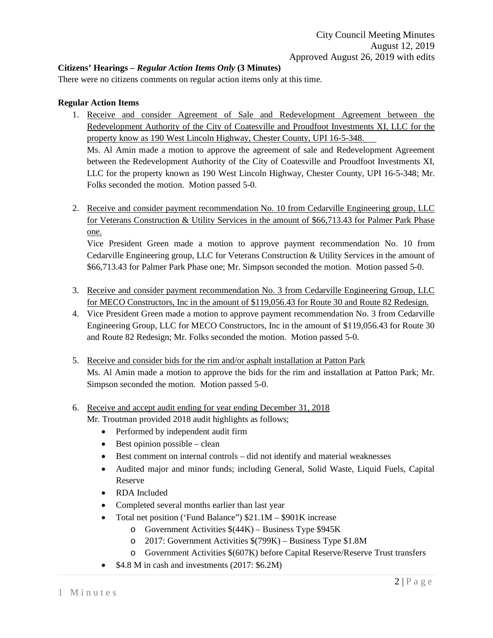## **Citizens' Hearings –** *Regular Action Items Only* **(3 Minutes)**

There were no citizens comments on regular action items only at this time.

#### **Regular Action Items**

1. Receive and consider Agreement of Sale and Redevelopment Agreement between the Redevelopment Authority of the City of Coatesville and Proudfoot Investments XI, LLC for the property know as 190 West Lincoln Highway, Chester County, UPI 16-5-348.

Ms. Al Amin made a motion to approve the agreement of sale and Redevelopment Agreement between the Redevelopment Authority of the City of Coatesville and Proudfoot Investments XI, LLC for the property known as 190 West Lincoln Highway, Chester County, UPI 16-5-348; Mr. Folks seconded the motion. Motion passed 5-0.

2. Receive and consider payment recommendation No. 10 from Cedarville Engineering group, LLC for Veterans Construction & Utility Services in the amount of \$66,713.43 for Palmer Park Phase one.

Vice President Green made a motion to approve payment recommendation No. 10 from Cedarville Engineering group, LLC for Veterans Construction & Utility Services in the amount of \$66,713.43 for Palmer Park Phase one; Mr. Simpson seconded the motion. Motion passed 5-0.

- 3. Receive and consider payment recommendation No. 3 from Cedarville Engineering Group, LLC for MECO Constructors, Inc in the amount of \$119,056.43 for Route 30 and Route 82 Redesign.
- 4. Vice President Green made a motion to approve payment recommendation No. 3 from Cedarville Engineering Group, LLC for MECO Constructors, Inc in the amount of \$119,056.43 for Route 30 and Route 82 Redesign; Mr. Folks seconded the motion. Motion passed 5-0.
- 5. Receive and consider bids for the rim and/or asphalt installation at Patton Park Ms. Al Amin made a motion to approve the bids for the rim and installation at Patton Park; Mr. Simpson seconded the motion. Motion passed 5-0.
- 6. Receive and accept audit ending for year ending December 31, 2018

Mr. Troutman provided 2018 audit highlights as follows;

- Performed by independent audit firm
- $\bullet$  Best opinion possible clean
- Best comment on internal controls did not identify and material weaknesses
- Audited major and minor funds; including General, Solid Waste, Liquid Fuels, Capital Reserve
- RDA Included
- Completed several months earlier than last year
- Total net position ('Fund Balance'') \$21.1M \$901K increase
	- o Government Activities \$(44K) Business Type \$945K
	- o 2017: Government Activities \$(799K) Business Type \$1.8M
	- o Government Activities \$(607K) before Capital Reserve/Reserve Trust transfers
- \$4.8 M in cash and investments (2017: \$6.2M)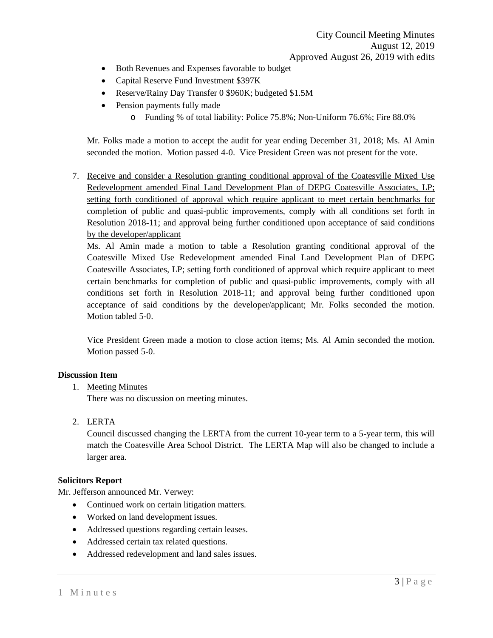- Both Revenues and Expenses favorable to budget
- Capital Reserve Fund Investment \$397K
- Reserve/Rainy Day Transfer 0 \$960K; budgeted \$1.5M
- Pension payments fully made
	- o Funding % of total liability: Police 75.8%; Non-Uniform 76.6%; Fire 88.0%

Mr. Folks made a motion to accept the audit for year ending December 31, 2018; Ms. Al Amin seconded the motion. Motion passed 4-0. Vice President Green was not present for the vote.

7. Receive and consider a Resolution granting conditional approval of the Coatesville Mixed Use Redevelopment amended Final Land Development Plan of DEPG Coatesville Associates, LP; setting forth conditioned of approval which require applicant to meet certain benchmarks for completion of public and quasi-public improvements, comply with all conditions set forth in Resolution 2018-11; and approval being further conditioned upon acceptance of said conditions by the developer/applicant

Ms. Al Amin made a motion to table a Resolution granting conditional approval of the Coatesville Mixed Use Redevelopment amended Final Land Development Plan of DEPG Coatesville Associates, LP; setting forth conditioned of approval which require applicant to meet certain benchmarks for completion of public and quasi-public improvements, comply with all conditions set forth in Resolution 2018-11; and approval being further conditioned upon acceptance of said conditions by the developer/applicant; Mr. Folks seconded the motion. Motion tabled 5-0.

Vice President Green made a motion to close action items; Ms. Al Amin seconded the motion. Motion passed 5-0.

#### **Discussion Item**

1. Meeting Minutes

There was no discussion on meeting minutes.

2. LERTA

Council discussed changing the LERTA from the current 10-year term to a 5-year term, this will match the Coatesville Area School District. The LERTA Map will also be changed to include a larger area.

#### **Solicitors Report**

Mr. Jefferson announced Mr. Verwey:

- Continued work on certain litigation matters.
- Worked on land development issues.
- Addressed questions regarding certain leases.
- Addressed certain tax related questions.
- Addressed redevelopment and land sales issues.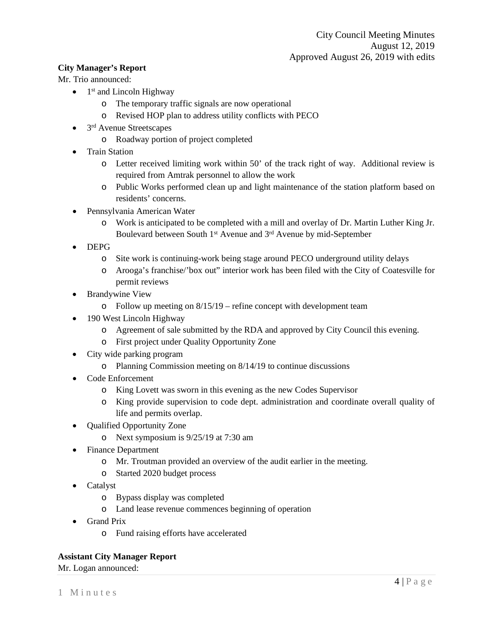#### **City Manager's Report**

Mr. Trio announced:

- $\bullet$  1<sup>st</sup> and Lincoln Highway
	- o The temporary traffic signals are now operational
	- o Revised HOP plan to address utility conflicts with PECO
- $\bullet$  3<sup>rd</sup> Avenue Streetscapes
	- o Roadway portion of project completed
- Train Station
	- o Letter received limiting work within 50' of the track right of way. Additional review is required from Amtrak personnel to allow the work
	- o Public Works performed clean up and light maintenance of the station platform based on residents' concerns.
- Pennsylvania American Water
	- o Work is anticipated to be completed with a mill and overlay of Dr. Martin Luther King Jr. Boulevard between South 1st Avenue and 3rd Avenue by mid-September
- DEPG
	- o Site work is continuing-work being stage around PECO underground utility delays
	- o Arooga's franchise/'box out" interior work has been filed with the City of Coatesville for permit reviews
- Brandywine View
	- o Follow up meeting on 8/15/19 refine concept with development team
- 190 West Lincoln Highway
	- o Agreement of sale submitted by the RDA and approved by City Council this evening.
	- o First project under Quality Opportunity Zone
- City wide parking program
	- o Planning Commission meeting on 8/14/19 to continue discussions
- Code Enforcement
	- o King Lovett was sworn in this evening as the new Codes Supervisor
	- o King provide supervision to code dept. administration and coordinate overall quality of life and permits overlap.
- Qualified Opportunity Zone
	- o Next symposium is 9/25/19 at 7:30 am
- Finance Department
	- o Mr. Troutman provided an overview of the audit earlier in the meeting.
	- o Started 2020 budget process
- Catalyst
	- o Bypass display was completed
	- o Land lease revenue commences beginning of operation
- Grand Prix
	- o Fund raising efforts have accelerated

#### **Assistant City Manager Report**

Mr. Logan announced: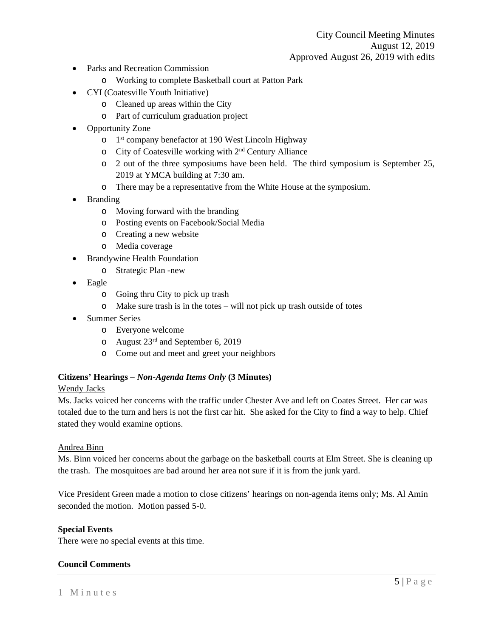- Parks and Recreation Commission
	- o Working to complete Basketball court at Patton Park
- CYI (Coatesville Youth Initiative)
	- o Cleaned up areas within the City
	- o Part of curriculum graduation project
- Opportunity Zone
	- o 1st company benefactor at 190 West Lincoln Highway
	- o City of Coatesville working with 2nd Century Alliance
	- o 2 out of the three symposiums have been held. The third symposium is September 25, 2019 at YMCA building at 7:30 am.
	- o There may be a representative from the White House at the symposium.
- Branding
	- o Moving forward with the branding
	- o Posting events on Facebook/Social Media
	- o Creating a new website
	- o Media coverage
- **Brandywine Health Foundation** 
	- o Strategic Plan -new
- Eagle
	- o Going thru City to pick up trash
	- o Make sure trash is in the totes will not pick up trash outside of totes
- Summer Series
	- o Everyone welcome
	- o August 23rd and September 6, 2019
	- o Come out and meet and greet your neighbors

#### **Citizens' Hearings –** *Non-Agenda Items Only* **(3 Minutes)**

#### Wendy Jacks

Ms. Jacks voiced her concerns with the traffic under Chester Ave and left on Coates Street. Her car was totaled due to the turn and hers is not the first car hit. She asked for the City to find a way to help. Chief stated they would examine options.

#### Andrea Binn

Ms. Binn voiced her concerns about the garbage on the basketball courts at Elm Street. She is cleaning up the trash. The mosquitoes are bad around her area not sure if it is from the junk yard.

Vice President Green made a motion to close citizens' hearings on non-agenda items only; Ms. Al Amin seconded the motion. Motion passed 5-0.

#### **Special Events**

There were no special events at this time.

#### **Council Comments**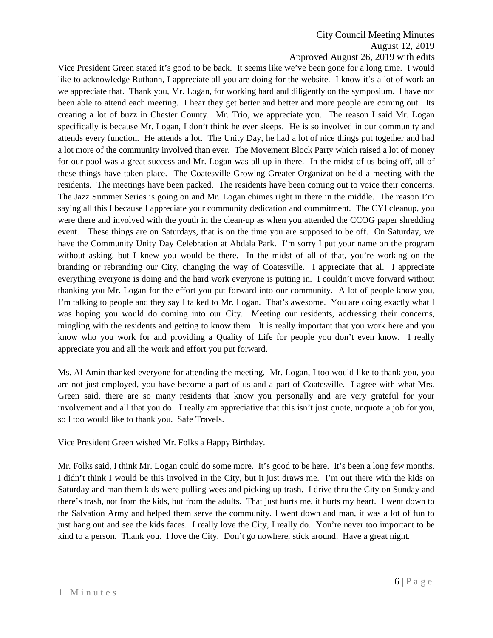# City Council Meeting Minutes August 12, 2019

Approved August 26, 2019 with edits

Vice President Green stated it's good to be back. It seems like we've been gone for a long time. I would like to acknowledge Ruthann, I appreciate all you are doing for the website. I know it's a lot of work an we appreciate that. Thank you, Mr. Logan, for working hard and diligently on the symposium. I have not been able to attend each meeting. I hear they get better and better and more people are coming out. Its creating a lot of buzz in Chester County. Mr. Trio, we appreciate you. The reason I said Mr. Logan specifically is because Mr. Logan, I don't think he ever sleeps. He is so involved in our community and attends every function. He attends a lot. The Unity Day, he had a lot of nice things put together and had a lot more of the community involved than ever. The Movement Block Party which raised a lot of money for our pool was a great success and Mr. Logan was all up in there. In the midst of us being off, all of these things have taken place. The Coatesville Growing Greater Organization held a meeting with the residents. The meetings have been packed. The residents have been coming out to voice their concerns. The Jazz Summer Series is going on and Mr. Logan chimes right in there in the middle. The reason I'm saying all this I because I appreciate your community dedication and commitment. The CYI cleanup, you were there and involved with the youth in the clean-up as when you attended the CCOG paper shredding event. These things are on Saturdays, that is on the time you are supposed to be off. On Saturday, we have the Community Unity Day Celebration at Abdala Park. I'm sorry I put your name on the program without asking, but I knew you would be there. In the midst of all of that, you're working on the branding or rebranding our City, changing the way of Coatesville. I appreciate that al. I appreciate everything everyone is doing and the hard work everyone is putting in. I couldn't move forward without thanking you Mr. Logan for the effort you put forward into our community. A lot of people know you, I'm talking to people and they say I talked to Mr. Logan. That's awesome. You are doing exactly what I was hoping you would do coming into our City. Meeting our residents, addressing their concerns, mingling with the residents and getting to know them. It is really important that you work here and you know who you work for and providing a Quality of Life for people you don't even know. I really appreciate you and all the work and effort you put forward.

Ms. Al Amin thanked everyone for attending the meeting. Mr. Logan, I too would like to thank you, you are not just employed, you have become a part of us and a part of Coatesville. I agree with what Mrs. Green said, there are so many residents that know you personally and are very grateful for your involvement and all that you do. I really am appreciative that this isn't just quote, unquote a job for you, so I too would like to thank you. Safe Travels.

Vice President Green wished Mr. Folks a Happy Birthday.

Mr. Folks said, I think Mr. Logan could do some more. It's good to be here. It's been a long few months. I didn't think I would be this involved in the City, but it just draws me. I'm out there with the kids on Saturday and man them kids were pulling wees and picking up trash. I drive thru the City on Sunday and there's trash, not from the kids, but from the adults. That just hurts me, it hurts my heart. I went down to the Salvation Army and helped them serve the community. I went down and man, it was a lot of fun to just hang out and see the kids faces. I really love the City, I really do. You're never too important to be kind to a person. Thank you. I love the City. Don't go nowhere, stick around. Have a great night.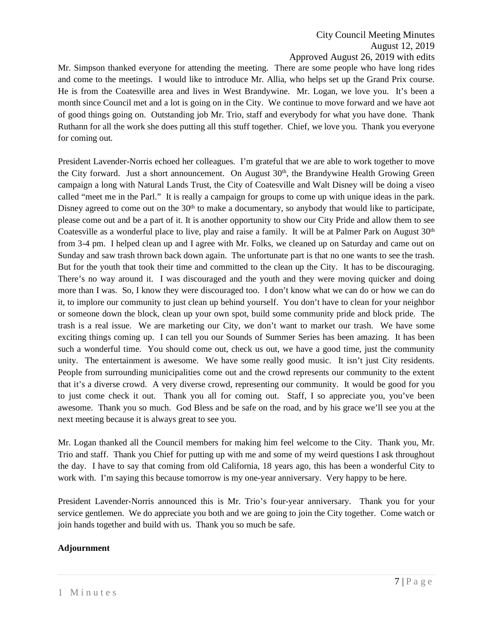## City Council Meeting Minutes August 12, 2019 Approved August 26, 2019 with edits

Mr. Simpson thanked everyone for attending the meeting. There are some people who have long rides and come to the meetings. I would like to introduce Mr. Allia, who helps set up the Grand Prix course. He is from the Coatesville area and lives in West Brandywine. Mr. Logan, we love you. It's been a month since Council met and a lot is going on in the City. We continue to move forward and we have aot of good things going on. Outstanding job Mr. Trio, staff and everybody for what you have done. Thank Ruthann for all the work she does putting all this stuff together. Chief, we love you. Thank you everyone for coming out.

President Lavender-Norris echoed her colleagues. I'm grateful that we are able to work together to move the City forward. Just a short announcement. On August 30<sup>th</sup>, the Brandywine Health Growing Green campaign a long with Natural Lands Trust, the City of Coatesville and Walt Disney will be doing a viseo called "meet me in the Parl." It is really a campaign for groups to come up with unique ideas in the park. Disney agreed to come out on the  $30<sup>th</sup>$  to make a documentary, so anybody that would like to participate, please come out and be a part of it. It is another opportunity to show our City Pride and allow them to see Coatesville as a wonderful place to live, play and raise a family. It will be at Palmer Park on August 30<sup>th</sup> from 3-4 pm. I helped clean up and I agree with Mr. Folks, we cleaned up on Saturday and came out on Sunday and saw trash thrown back down again. The unfortunate part is that no one wants to see the trash. But for the youth that took their time and committed to the clean up the City. It has to be discouraging. There's no way around it. I was discouraged and the youth and they were moving quicker and doing more than I was. So, I know they were discouraged too. I don't know what we can do or how we can do it, to implore our community to just clean up behind yourself. You don't have to clean for your neighbor or someone down the block, clean up your own spot, build some community pride and block pride. The trash is a real issue. We are marketing our City, we don't want to market our trash. We have some exciting things coming up. I can tell you our Sounds of Summer Series has been amazing. It has been such a wonderful time. You should come out, check us out, we have a good time, just the community unity. The entertainment is awesome. We have some really good music. It isn't just City residents. People from surrounding municipalities come out and the crowd represents our community to the extent that it's a diverse crowd. A very diverse crowd, representing our community. It would be good for you to just come check it out. Thank you all for coming out. Staff, I so appreciate you, you've been awesome. Thank you so much. God Bless and be safe on the road, and by his grace we'll see you at the next meeting because it is always great to see you.

Mr. Logan thanked all the Council members for making him feel welcome to the City. Thank you, Mr. Trio and staff. Thank you Chief for putting up with me and some of my weird questions I ask throughout the day. I have to say that coming from old California, 18 years ago, this has been a wonderful City to work with. I'm saying this because tomorrow is my one-year anniversary. Very happy to be here.

President Lavender-Norris announced this is Mr. Trio's four-year anniversary. Thank you for your service gentlemen. We do appreciate you both and we are going to join the City together. Come watch or join hands together and build with us. Thank you so much be safe.

#### **Adjournment**